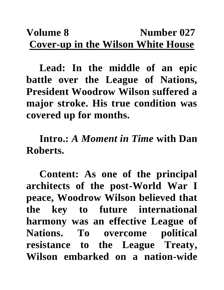## **Volume 8** Number 027 **Cover-up in the Wilson White House**

**Lead: In the middle of an epic battle over the League of Nations, President Woodrow Wilson suffered a major stroke. His true condition was covered up for months.**

**Intro.:** *A Moment in Time* **with Dan Roberts.**

**Content: As one of the principal architects of the post-World War I peace, Woodrow Wilson believed that the key to future international harmony was an effective League of Nations. To overcome political resistance to the League Treaty, Wilson embarked on a nation-wide**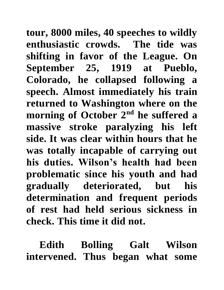**tour, 8000 miles, 40 speeches to wildly enthusiastic crowds. The tide was shifting in favor of the League. On September 25, 1919 at Pueblo, Colorado, he collapsed following a speech. Almost immediately his train returned to Washington where on the morning of October 2nd he suffered a massive stroke paralyzing his left side. It was clear within hours that he was totally incapable of carrying out his duties. Wilson's health had been problematic since his youth and had gradually deteriorated, but his determination and frequent periods of rest had held serious sickness in check. This time it did not.**

**Edith Bolling Galt Wilson intervened. Thus began what some**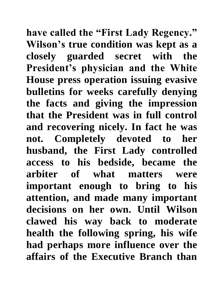**have called the "First Lady Regency." Wilson's true condition was kept as a closely guarded secret with the President's physician and the White House press operation issuing evasive bulletins for weeks carefully denying the facts and giving the impression that the President was in full control and recovering nicely. In fact he was not. Completely devoted to her husband, the First Lady controlled access to his bedside, became the arbiter of what matters were important enough to bring to his attention, and made many important decisions on her own. Until Wilson clawed his way back to moderate health the following spring, his wife had perhaps more influence over the affairs of the Executive Branch than**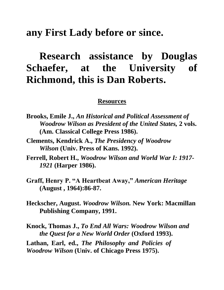## **any First Lady before or since.**

## **Research assistance by Douglas Schaefer, at the University of Richmond, this is Dan Roberts.**

## **Resources**

- **Brooks, Emile J.,** *An Historical and Political Assessment of Woodrow Wilson as President of the United States,* **2 vols. (Am. Classical College Press 1986).**
- **Clements, Kendrick A.,** *The Presidency of Woodrow Wilson* **(Univ. Press of Kans. 1992).**
- **Ferrell, Robert H.,** *Woodrow Wilson and World War I: 1917- 1921* **(Harper 1986).**
- **Graff, Henry P. "A Heartbeat Away,"** *American Heritage*  **(August , 1964):86-87.**
- **Heckscher, August.** *Woodrow Wilson.* **New York: Macmillan Publishing Company, 1991.**
- **Knock, Thomas J.,** *To End All Wars: Woodrow Wilson and the Quest for a New World Order* **(Oxford 1993). Lathan, Earl, ed.,** *The Philosophy and Policies of Woodrow Wilson* **(Univ. of Chicago Press 1975).**